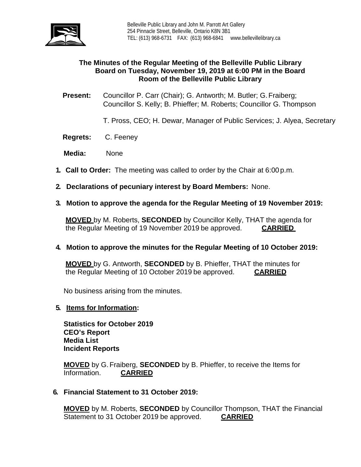

# **The Minutes of the Regular Meeting of the Belleville Public Library Board on Tuesday, November 19, 2019 at 6:00 PM in the Board Room of the Belleville Public Library**

**Present:** Councillor P. Carr (Chair); G. Antworth; M. Butler; G. Fraiberg; Councillor S. Kelly; B. Phieffer; M. Roberts; Councillor G. Thompson

T. Pross, CEO; H. Dewar, Manager of Public Services; J. Alyea, Secretary

- **Regrets:** C. Feeney
- **Media:** None
- **1. Call to Order:** The meeting was called to order by the Chair at 6:00 p.m.
- **2. Declarations of pecuniary interest by Board Members:** None.
- **3. Motion to approve the agenda for the Regular Meeting of 19 November 2019:**

**MOVED** by M. Roberts, **SECONDED** by Councillor Kelly, THAT the agenda for the Regular Meeting of 19 November 2019 be approved. **CARRIED**

#### **4. Motion to approve the minutes for the Regular Meeting of 10 October 2019:**

**MOVED** by G. Antworth, **SECONDED** by B. Phieffer, THAT the minutes for the Regular Meeting of 10 October 2019 be approved. **CARRIED**

No business arising from the minutes.

#### **5. Items for Information:**

**Statistics for October 2019 CEO's Report Media List Incident Reports**

**MOVED** by G.Fraiberg, **SECONDED** by B. Phieffer, to receive the Items for Information. **CARRIED** 

**6. Financial Statement to 31 October 2019:**

**MOVED** by M. Roberts, **SECONDED** by Councillor Thompson, THAT the Financial Statement to 31 October 2019 be approved. **CARRIED**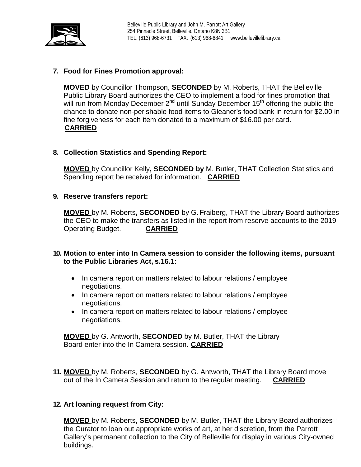

# **7. Food for Fines Promotion approval:**

**MOVED** by Councillor Thompson, **SECONDED** by M. Roberts, THAT the Belleville Public Library Board authorizes the CEO to implement a food for fines promotion that will run from Monday December 2<sup>nd</sup> until Sunday December 15<sup>th</sup> offering the public the chance to donate non-perishable food items to Gleaner's food bank in return for \$2.00 in fine forgiveness for each item donated to a maximum of \$16.00 per card. **CARRIED**

### **8. Collection Statistics and Spending Report:**

**MOVED** by Councillor Kelly**, SECONDED by** M. Butler, THAT Collection Statistics and Spending report be received for information. **CARRIED**

### **9. Reserve transfers report:**

**MOVED** by M. Roberts**, SECONDED** by G.Fraiberg, THAT the Library Board authorizes the CEO to make the transfers as listed in the report from reserve accounts to the 2019 Operating Budget. **CARRIED**

### **10. Motion to enter into In Camera session to consider the following items, pursuant to the Public Libraries Act, s.16.1:**

- In camera report on matters related to labour relations / employee negotiations.
- In camera report on matters related to labour relations / employee negotiations.
- In camera report on matters related to labour relations / employee negotiations.

**MOVED** by G. Antworth, **SECONDED** by M. Butler, THAT the Library Board enter into the In Camera session. **CARRIED**

**11. MOVED** by M. Roberts, **SECONDED** by G. Antworth, THAT the Library Board move out of the In Camera Session and return to the regular meeting. **CARRIED**

### **12. Art loaning request from City:**

**MOVED** by M. Roberts, **SECONDED** by M. Butler, THAT the Library Board authorizes the Curator to loan out appropriate works of art, at her discretion, from the Parrott Gallery's permanent collection to the City of Belleville for display in various City-owned buildings.